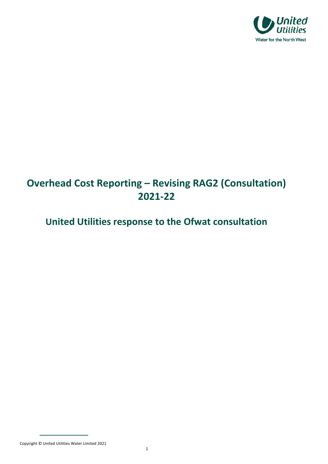

# **Overhead Cost Reporting – Revising RAG2 (Consultation) 2021‐22**

## **United Utilities response to the Ofwat consultation**

Copyright © United Utilities Water Limited <sup>2021</sup> <sup>1</sup>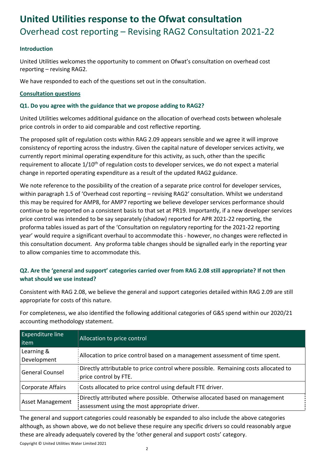## **United Utilities response to the Ofwat consultation**  Overhead cost reporting – Revising RAG2 Consultation 2021‐22

#### **Introduction**

United Utilities welcomes the opportunity to comment on Ofwat's consultation on overhead cost reporting – revising RAG2.

We have responded to each of the questions set out in the consultation.

#### **Consultation questions**

#### **Q1. Do you agree with the guidance that we propose adding to RAG2?**

United Utilities welcomes additional guidance on the allocation of overhead costs between wholesale price controls in order to aid comparable and cost reflective reporting.

The proposed split of regulation costs within RAG 2.09 appears sensible and we agree it will improve consistency of reporting across the industry. Given the capital nature of developer services activity, we currently report minimal operating expenditure for this activity, as such, other than the specific requirement to allocate  $1/10<sup>th</sup>$  of regulation costs to developer services, we do not expect a material change in reported operating expenditure as a result of the updated RAG2 guidance.

We note reference to the possibility of the creation of a separate price control for developer services, within paragraph 1.5 of 'Overhead cost reporting – revising RAG2' consultation. Whilst we understand this may be required for AMP8, for AMP7 reporting we believe developer services performance should continue to be reported on a consistent basis to that set at PR19. Importantly, if a new developer services price control was intended to be say separately (shadow) reported for APR 2021‐22 reporting, the proforma tables issued as part of the 'Consultation on regulatory reporting for the 2021‐22 reporting year' would require a significant overhaul to accommodate this ‐ however, no changes were reflected in this consultation document. Any proforma table changes should be signalled early in the reporting year to allow companies time to accommodate this.

### **Q2. Are the 'general and support' categories carried over from RAG 2.08 still appropriate? If not then what should we use instead?**

Consistent with RAG 2.08, we believe the general and support categories detailed within RAG 2.09 are still appropriate for costs of this nature.

For completeness, we also identified the following additional categories of G&S spend within our 2020/21 accounting methodology statement.

| <b>Expenditure line</b><br>item | Allocation to price control                                                                                                  |
|---------------------------------|------------------------------------------------------------------------------------------------------------------------------|
| Learning &<br>Development       | Allocation to price control based on a management assessment of time spent.                                                  |
| <b>General Counsel</b>          | Directly attributable to price control where possible. Remaining costs allocated to<br>price control by FTE.                 |
| Corporate Affairs               | Costs allocated to price control using default FTE driver.                                                                   |
| <b>Asset Management</b>         | Directly attributed where possible. Otherwise allocated based on management<br>assessment using the most appropriate driver. |

The general and support categories could reasonably be expanded to also include the above categories although, as shown above, we do not believe these require any specific drivers so could reasonably argue these are already adequately covered by the 'other general and support costs' category.

Copyright © United Utilities Water Limited <sup>2021</sup> <sup>2</sup>